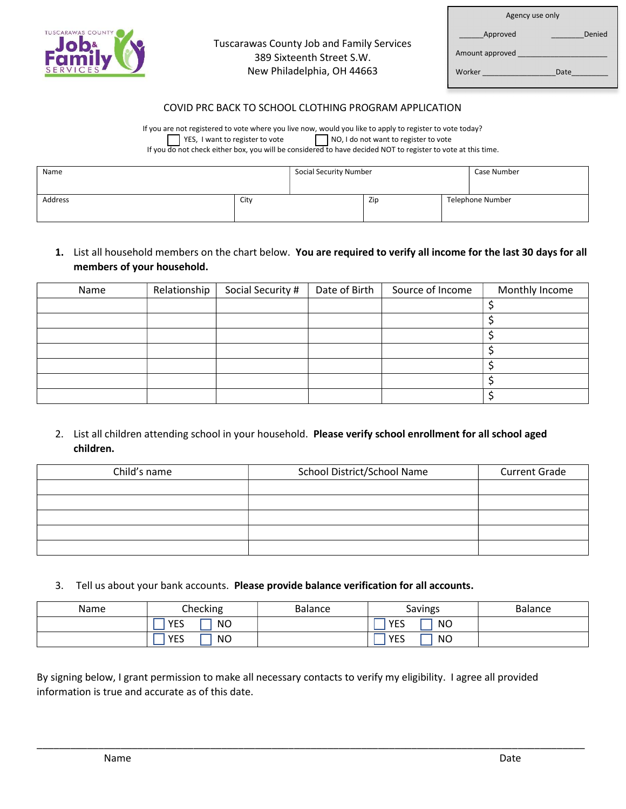

### Tuscarawas County Job and Family Services 389 Sixteenth Street S.W. New Philadelphia, OH 44663

| Agency use only    |  |
|--------------------|--|
| Denied<br>Approved |  |
| Amount approved    |  |
| Worker<br>Date     |  |

#### COVID PRC BACK TO SCHOOL CLOTHING PROGRAM APPLICATION

If you are not registered to vote where you live now, would you like to apply to register to vote today? YES, I want to register to vote NO, I do not want to register to vote If you do not check either box, you will be considered to have decided NOT to register to vote at this time.

| Name    |      | <b>Social Security Number</b> |     | Case Number |                  |
|---------|------|-------------------------------|-----|-------------|------------------|
| Address | City |                               | Zip |             | Telephone Number |

## 1. List all household members on the chart below. You are required to verify all income for the last 30 days for all members of your household.

| Name | Relationship | Social Security # | Date of Birth | Source of Income | Monthly Income |
|------|--------------|-------------------|---------------|------------------|----------------|
|      |              |                   |               |                  |                |
|      |              |                   |               |                  |                |
|      |              |                   |               |                  |                |
|      |              |                   |               |                  |                |
|      |              |                   |               |                  |                |
|      |              |                   |               |                  |                |
|      |              |                   |               |                  |                |

### 2. List all children attending school in your household. Please verify school enrollment for all school aged children.

| Child's name | School District/School Name | <b>Current Grade</b> |
|--------------|-----------------------------|----------------------|
|              |                             |                      |
|              |                             |                      |
|              |                             |                      |
|              |                             |                      |
|              |                             |                      |

3. Tell us about your bank accounts. Please provide balance verification for all accounts.

| Name | Checking                | <b>Balance</b> | Savings                 | <b>Balance</b> |
|------|-------------------------|----------------|-------------------------|----------------|
|      | <b>YES</b><br><b>NO</b> |                | <b>NO</b><br><b>YES</b> |                |
|      | <b>YES</b><br><b>NO</b> |                | <b>NO</b><br><b>YES</b> |                |

\_\_\_\_\_\_\_\_\_\_\_\_\_\_\_\_\_\_\_\_\_\_\_\_\_\_\_\_\_\_\_\_\_\_\_\_\_\_\_\_\_\_\_\_\_\_\_\_\_\_\_\_\_\_\_\_\_\_\_\_\_\_\_\_\_\_\_\_\_\_\_\_\_\_\_\_\_\_\_\_\_\_\_\_\_\_\_\_\_\_\_\_\_\_\_\_\_\_

By signing below, I grant permission to make all necessary contacts to verify my eligibility. I agree all provided information is true and accurate as of this date.